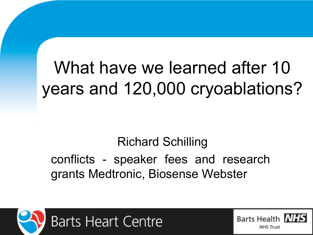# What have we learned after 10 years and 120,000 cryoablations?

#### Richard Schilling conflicts - speaker fees and research grants Medtronic, Biosense Webster



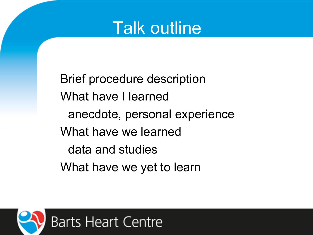

Brief procedure description What have I learned anecdote, personal experience What have we learned data and studies What have we yet to learn

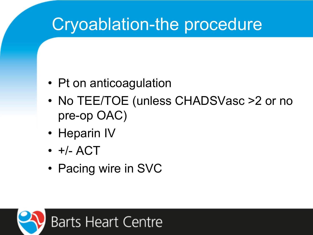## Cryoablation-the procedure

- Pt on anticoagulation
- No TEE/TOE (unless CHADSVasc >2 or no pre-op OAC)
- Heparin IV
- +/- ACT
- Pacing wire in SVC

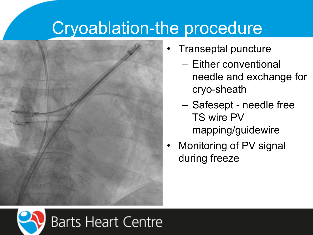## Cryoablation-the procedure



- Transeptal puncture
	- Either conventional needle and exchange for cryo-sheath
	- Safesept needle free TS wire PV mapping/guidewire
- Monitoring of PV signal during freeze

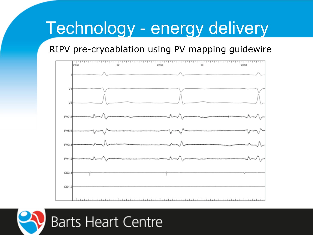## Technology - energy delivery

#### RIPV pre-cryoablation using PV mapping guidewire



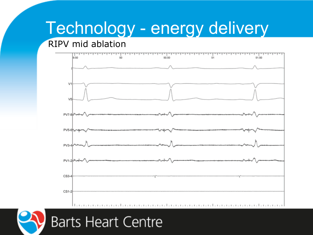## Technology - energy delivery

#### RIPV mid ablation



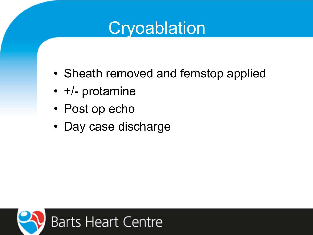## **Cryoablation**

- Sheath removed and femstop applied
- +/- protamine
- Post op echo
- Day case discharge

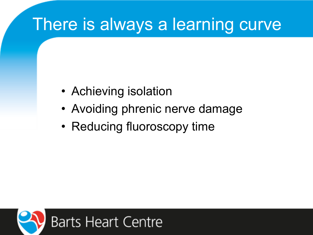## There is always a learning curve

- Achieving isolation
- Avoiding phrenic nerve damage
- Reducing fluoroscopy time

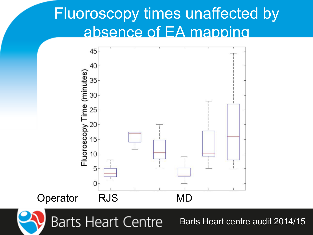#### Fluoroscopy times unaffected by absence of EA mapping



**Barts Heart Centre** 

Barts Heart centre audit 2014/15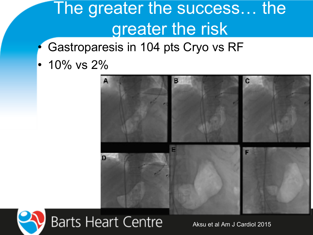## The greater the success… the greater the risk

- Gastroparesis in 104 pts Cryo vs RF
- $\cdot$  10% vs 2%





Aksu et al Am J Cardiol 2015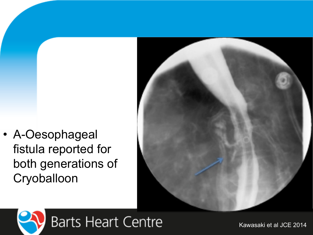• A-Oesophageal fistula reported for both generations of **Cryoballoon** 





Kawasaki et al JCE 2014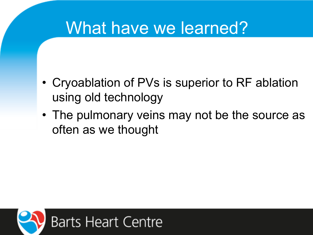## What have we learned?

- Cryoablation of PVs is superior to RF ablation using old technology
- The pulmonary veins may not be the source as often as we thought

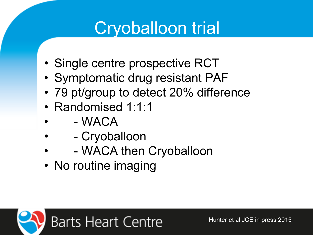## Cryoballoon trial

- Single centre prospective RCT
- Symptomatic drug resistant PAF
- 79 pt/group to detect 20% difference
- Randomised 1:1:1
- - WACA
- Cryoballoon
- WACA then Cryoballoon
- No routine imaging

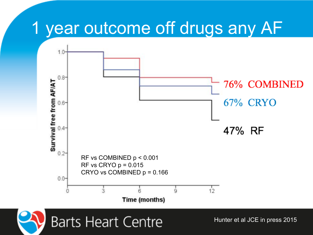## 1 year outcome off drugs any AF



**Barts Heart Centre** 

Hunter et al JCE in press 2015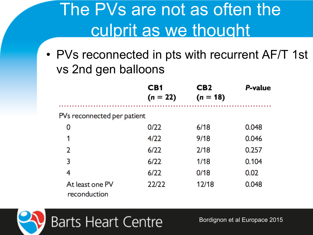## The PVs are not as often the culprit as we thought

• PVs reconnected in pts with recurrent AF/T 1st vs 2nd gen balloons

|                                 | CB <sub>1</sub><br>$(n = 22)$ | CB <sub>2</sub><br>$(n = 18)$ | <b>P-value</b> |
|---------------------------------|-------------------------------|-------------------------------|----------------|
| PVs reconnected per patient     |                               |                               |                |
| 0                               | 0/22                          | 6/18                          | 0.048          |
| 1                               | 4/22                          | 9/18                          | 0.046          |
| $\overline{2}$                  | 6/22                          | 2/18                          | 0.257          |
| 3                               | 6/22                          | 1/18                          | 0.104          |
| 4                               | 6/22                          | 0/18                          | 0.02           |
| At least one PV<br>reconduction | 22/22                         | 12/18                         | 0.048          |



Bordignon et al Europace 2015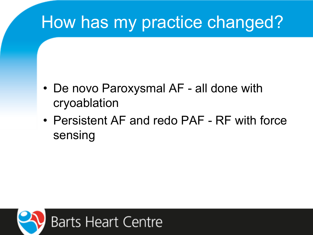## How has my practice changed?

- De novo Paroxysmal AF all done with cryoablation
- Persistent AF and redo PAF RF with force sensing

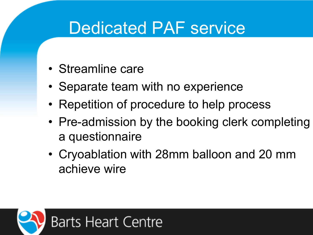## Dedicated PAF service

- Streamline care
- Separate team with no experience
- Repetition of procedure to help process
- Pre-admission by the booking clerk completing a questionnaire
- Cryoablation with 28mm balloon and 20 mm achieve wire

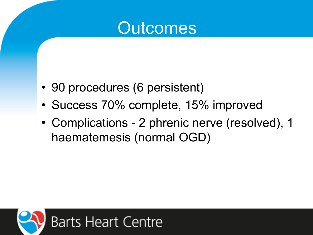#### **Outcomes**

- 90 procedures (6 persistent)
- Success 70% complete, 15% improved
- Complications 2 phrenic nerve (resolved), 1 haematemesis (normal OGD)

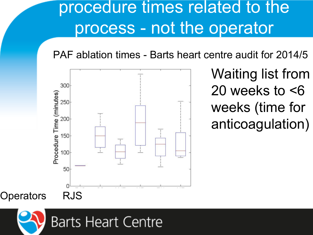## procedure times related to the process - not the operator

PAF ablation times - Barts heart centre audit for 2014/5



• Waiting list from 20 weeks to <6 weeks (time for anticoagulation)

Operators RJS

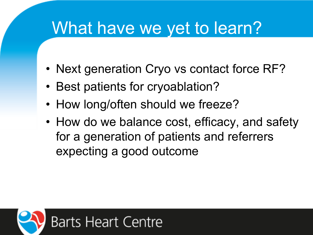## What have we yet to learn?

- Next generation Cryo vs contact force RF?
- Best patients for cryoablation?
- How long/often should we freeze?
- How do we balance cost, efficacy, and safety for a generation of patients and referrers expecting a good outcome

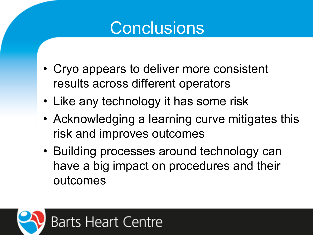## **Conclusions**

- Cryo appears to deliver more consistent results across different operators
- Like any technology it has some risk
- Acknowledging a learning curve mitigates this risk and improves outcomes
- Building processes around technology can have a big impact on procedures and their outcomes

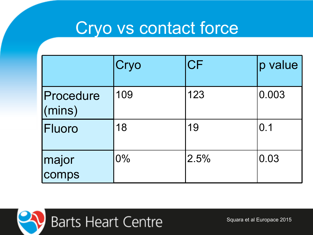## Cryo vs contact force

|                             | Cryo  | <b>CF</b> | p value |
|-----------------------------|-------|-----------|---------|
| Procedure<br>$\vert$ (mins) | 109   | 123       | 0.003   |
| Fluoro                      | 18    | 19        | 0.1     |
| major<br>comps              | $0\%$ | 2.5%      | 0.03    |